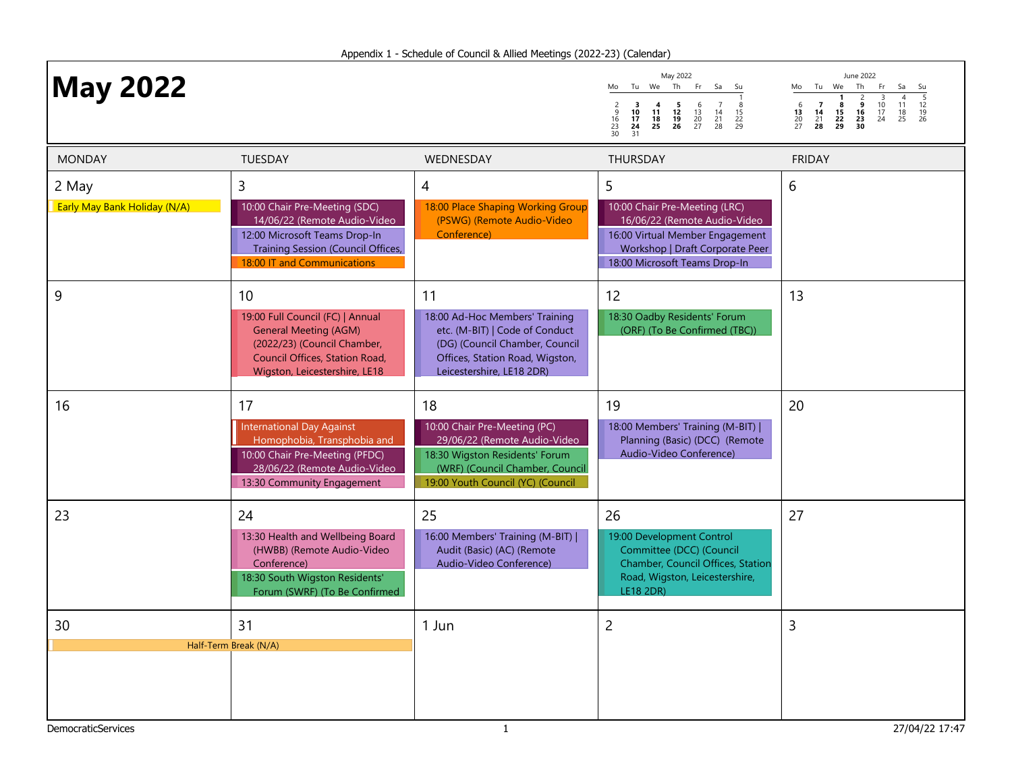| <b>May 2022</b>                       |                                                                                                                                                                          |                                                                                                                                                                              | May 2022<br>Tu We Th<br>Fr<br>Sa<br>Mo<br>Su<br>$\frac{8}{15}$<br>22<br>29<br>$\begin{array}{c} 3 \\ 10 \\ 17 \\ 24 \\ 31 \end{array}$<br>$\begin{array}{c} 5 \\ 12 \\ 19 \\ 26 \end{array}$<br>$\begin{array}{c} 6 \\ 13 \\ 20 \\ 27 \end{array}$<br>$\begin{array}{c} 7 \\ 14 \\ 21 \\ 28 \end{array}$<br>$\frac{2}{9}$<br>$\frac{16}{23}$<br>$\frac{23}{30}$<br>1 <sup>4</sup><br>$\frac{18}{25}$ | June 2022<br>Tu We Th<br>Fr<br>Sa<br>Mo<br>Su<br>$\frac{5}{12}$<br>$\frac{12}{19}$<br>26<br>$\frac{3}{10}$<br>$\frac{17}{24}$<br>$\frac{2}{9}$<br>$\frac{16}{23}$<br>30<br>$\begin{array}{c} 6 \\ 13 \\ 20 \\ 27 \end{array}$<br>$\begin{array}{c} 7 \\ 14 \\ 21 \\ 28 \end{array}$<br>$\begin{array}{c} 11 \\ 18 \\ 25 \end{array}$<br>$\frac{8}{15}$<br>22<br>29 |
|---------------------------------------|--------------------------------------------------------------------------------------------------------------------------------------------------------------------------|------------------------------------------------------------------------------------------------------------------------------------------------------------------------------|------------------------------------------------------------------------------------------------------------------------------------------------------------------------------------------------------------------------------------------------------------------------------------------------------------------------------------------------------------------------------------------------------|--------------------------------------------------------------------------------------------------------------------------------------------------------------------------------------------------------------------------------------------------------------------------------------------------------------------------------------------------------------------|
| <b>MONDAY</b>                         | <b>TUESDAY</b>                                                                                                                                                           | WEDNESDAY                                                                                                                                                                    | <b>THURSDAY</b>                                                                                                                                                                                                                                                                                                                                                                                      | <b>FRIDAY</b>                                                                                                                                                                                                                                                                                                                                                      |
| 2 May<br>Early May Bank Holiday (N/A) | 3<br>10:00 Chair Pre-Meeting (SDC)<br>14/06/22 (Remote Audio-Video<br>12:00 Microsoft Teams Drop-In<br>Training Session (Council Offices,<br>18:00 IT and Communications | 4<br>18:00 Place Shaping Working Group<br>(PSWG) (Remote Audio-Video<br>Conference)                                                                                          | 5<br>10:00 Chair Pre-Meeting (LRC)<br>16/06/22 (Remote Audio-Video<br>16:00 Virtual Member Engagement<br>Workshop   Draft Corporate Peer<br>18:00 Microsoft Teams Drop-In                                                                                                                                                                                                                            | 6                                                                                                                                                                                                                                                                                                                                                                  |
| 9                                     | 10<br>19:00 Full Council (FC)   Annual<br><b>General Meeting (AGM)</b><br>(2022/23) (Council Chamber,<br>Council Offices, Station Road,<br>Wigston, Leicestershire, LE18 | 11<br>18:00 Ad-Hoc Members' Training<br>etc. (M-BIT)   Code of Conduct<br>(DG) (Council Chamber, Council<br>Offices, Station Road, Wigston,<br>Leicestershire, LE18 2DR)     | 12<br>18:30 Oadby Residents' Forum<br>(ORF) (To Be Confirmed (TBC))                                                                                                                                                                                                                                                                                                                                  | 13                                                                                                                                                                                                                                                                                                                                                                 |
| 16                                    | 17<br><b>International Day Against</b><br>Homophobia, Transphobia and<br>10:00 Chair Pre-Meeting (PFDC)<br>28/06/22 (Remote Audio-Video<br>13:30 Community Engagement    | 18<br>10:00 Chair Pre-Meeting (PC)<br>29/06/22 (Remote Audio-Video<br>18:30 Wigston Residents' Forum<br>(WRF) (Council Chamber, Council<br>19:00 Youth Council (YC) (Council | 19<br>18:00 Members' Training (M-BIT)  <br>Planning (Basic) (DCC) (Remote<br>Audio-Video Conference)                                                                                                                                                                                                                                                                                                 | 20                                                                                                                                                                                                                                                                                                                                                                 |
| 23                                    | 24<br>13:30 Health and Wellbeing Board<br>(HWBB) (Remote Audio-Video<br>Conference)<br>18:30 South Wigston Residents'<br>Forum (SWRF) (To Be Confirmed                   | 25<br>16:00 Members' Training (M-BIT)  <br>Audit (Basic) (AC) (Remote<br>Audio-Video Conference)                                                                             | 26<br>19:00 Development Control<br>Committee (DCC) (Council<br>Chamber, Council Offices, Station<br>Road, Wigston, Leicestershire,<br>LE18 2DR)                                                                                                                                                                                                                                                      | 27                                                                                                                                                                                                                                                                                                                                                                 |
| 30                                    | 31                                                                                                                                                                       | 1 Jun                                                                                                                                                                        | $\overline{2}$                                                                                                                                                                                                                                                                                                                                                                                       | $\overline{3}$                                                                                                                                                                                                                                                                                                                                                     |
|                                       | Half-Term Break (N/A)                                                                                                                                                    |                                                                                                                                                                              |                                                                                                                                                                                                                                                                                                                                                                                                      |                                                                                                                                                                                                                                                                                                                                                                    |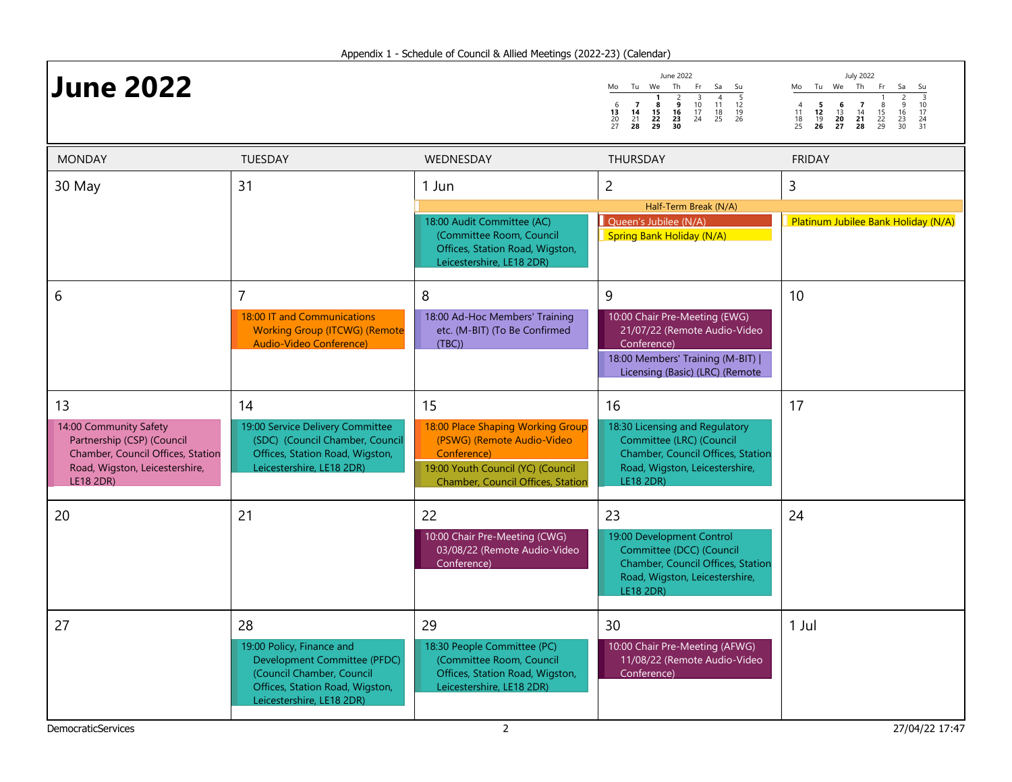| <b>June 2022</b>                                                                                                                               |                                                                                                                                                              |                                                                                                                                                                       | June 2022<br>Mo Tu We Th<br>Fr.<br>Sa<br>Su<br>$\frac{5}{12}$<br>$\frac{12}{19}$<br>26<br>$\frac{4}{11}$<br>$\frac{18}{25}$<br>$\begin{smallmatrix} & 3\\ 10\\ 17 \end{smallmatrix}$<br>$\begin{array}{c} 2 \\ 9 \\ 16 \\ 23 \\ 30 \end{array}$<br>$\begin{array}{c} 6 \\ 13 \\ 20 \\ 27 \end{array}$<br>$\begin{array}{c} 7 \\ 14 \\ 21 \\ 28 \end{array}$<br>8<br>15<br>$\frac{22}{29}$<br>24 | <b>July 2022</b><br>Mo Tu We Th<br>Fr.<br>Sa<br>Su<br>$\frac{3}{10}$<br>$\frac{17}{24}$<br>$\frac{24}{31}$<br>$\frac{2}{9}$<br>$\frac{16}{23}$<br>$\frac{23}{30}$<br>$\begin{array}{cc} 5 & 6 \\ 12 & 13 \\ 19 & 20 \\ 26 & 27 \end{array}$<br>$\begin{array}{c} 7 \\ 14 \\ 21 \\ 28 \end{array}$<br>$\frac{4}{11}$<br>$\begin{array}{c} 8 \\ 15 \\ 22 \\ 29 \end{array}$<br>$\frac{18}{25}$ |
|------------------------------------------------------------------------------------------------------------------------------------------------|--------------------------------------------------------------------------------------------------------------------------------------------------------------|-----------------------------------------------------------------------------------------------------------------------------------------------------------------------|-------------------------------------------------------------------------------------------------------------------------------------------------------------------------------------------------------------------------------------------------------------------------------------------------------------------------------------------------------------------------------------------------|----------------------------------------------------------------------------------------------------------------------------------------------------------------------------------------------------------------------------------------------------------------------------------------------------------------------------------------------------------------------------------------------|
| <b>MONDAY</b>                                                                                                                                  | <b>TUESDAY</b>                                                                                                                                               | <b>WEDNESDAY</b>                                                                                                                                                      | <b>THURSDAY</b>                                                                                                                                                                                                                                                                                                                                                                                 | <b>FRIDAY</b>                                                                                                                                                                                                                                                                                                                                                                                |
| 30 May                                                                                                                                         | 31                                                                                                                                                           | 1 Jun                                                                                                                                                                 | $\overline{2}$<br>Half-Term Break (N/A)                                                                                                                                                                                                                                                                                                                                                         | 3                                                                                                                                                                                                                                                                                                                                                                                            |
|                                                                                                                                                |                                                                                                                                                              | 18:00 Audit Committee (AC)<br>(Committee Room, Council<br>Offices, Station Road, Wigston,<br>Leicestershire, LE18 2DR)                                                | Queen's Jubilee (N/A)<br>Spring Bank Holiday (N/A)                                                                                                                                                                                                                                                                                                                                              | Platinum Jubilee Bank Holiday (N/A)                                                                                                                                                                                                                                                                                                                                                          |
| 6                                                                                                                                              | $\overline{7}$<br>18:00 IT and Communications<br><b>Working Group (ITCWG) (Remote</b><br>Audio-Video Conference)                                             | 8<br>18:00 Ad-Hoc Members' Training<br>etc. (M-BIT) (To Be Confirmed<br>(TBC)                                                                                         | 9<br>10:00 Chair Pre-Meeting (EWG)<br>21/07/22 (Remote Audio-Video<br>Conference)<br>18:00 Members' Training (M-BIT)  <br>Licensing (Basic) (LRC) (Remote                                                                                                                                                                                                                                       | 10                                                                                                                                                                                                                                                                                                                                                                                           |
| 13<br>14:00 Community Safety<br>Partnership (CSP) (Council<br>Chamber, Council Offices, Station<br>Road, Wigston, Leicestershire,<br>LE18 2DR) | 14<br>19:00 Service Delivery Committee<br>(SDC) (Council Chamber, Council<br>Offices, Station Road, Wigston,<br>Leicestershire, LE18 2DR)                    | 15<br>18:00 Place Shaping Working Group<br>(PSWG) (Remote Audio-Video<br>Conference)<br>19:00 Youth Council (YC) (Council<br><b>Chamber, Council Offices, Station</b> | 16<br>18:30 Licensing and Regulatory<br>Committee (LRC) (Council<br>Chamber, Council Offices, Station<br>Road, Wigston, Leicestershire,<br>LE18 2DR)                                                                                                                                                                                                                                            | 17                                                                                                                                                                                                                                                                                                                                                                                           |
| 20                                                                                                                                             | 21                                                                                                                                                           | 22<br>10:00 Chair Pre-Meeting (CWG)<br>03/08/22 (Remote Audio-Video<br>Conference)                                                                                    | 23<br>19:00 Development Control<br>Committee (DCC) (Council<br>Chamber, Council Offices, Station<br>Road, Wigston, Leicestershire,<br>LE18 2DR)                                                                                                                                                                                                                                                 | 24                                                                                                                                                                                                                                                                                                                                                                                           |
| 27                                                                                                                                             | 28<br>19:00 Policy, Finance and<br>Development Committee (PFDC)<br>(Council Chamber, Council<br>Offices, Station Road, Wigston,<br>Leicestershire, LE18 2DR) | 29<br>18:30 People Committee (PC)<br>(Committee Room, Council<br>Offices, Station Road, Wigston,<br>Leicestershire, LE18 2DR)                                         | 30<br>10:00 Chair Pre-Meeting (AFWG)<br>11/08/22 (Remote Audio-Video<br>Conference)                                                                                                                                                                                                                                                                                                             | 1 Jul                                                                                                                                                                                                                                                                                                                                                                                        |

-г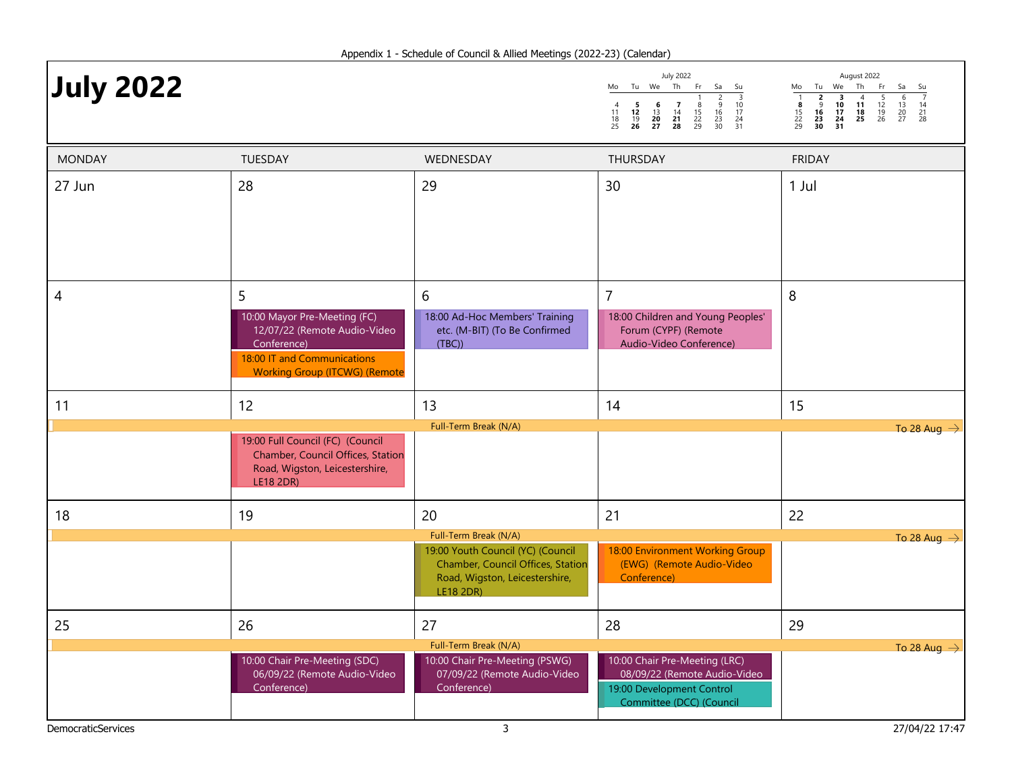|                  |    |  | <b>July 2022</b>                                             |             |  |                   |  | August 2022 |          |  |                                           |  |
|------------------|----|--|--------------------------------------------------------------|-------------|--|-------------------|--|-------------|----------|--|-------------------------------------------|--|
| <b>July 2022</b> | Mo |  | Tu We                                                        | Th Fr Sa Su |  |                   |  |             |          |  | Mo Tu We Th F                             |  |
|                  |    |  | 11 <b>12</b> 13 14 15<br>18 19 20 21<br>25 26 27 28 29 30 31 |             |  | 16 17<br>22 23 24 |  |             | 29 30 31 |  | 10 11 1<br>15 16 17 18 1<br>22 23 24 25 2 |  |

| August 2022              |                     |                      |                     |                |                     |                |  |  |  |  |
|--------------------------|---------------------|----------------------|---------------------|----------------|---------------------|----------------|--|--|--|--|
| Mo                       | Tu                  | We                   | Th                  | Fr             | Sa                  | Su             |  |  |  |  |
| 1<br>8<br>15<br>22<br>29 | 9<br>16<br>23<br>30 | 10<br>17<br>24<br>31 | 4<br>11<br>18<br>25 | 12<br>19<br>26 | h<br>13<br>20<br>27 | 14<br>21<br>28 |  |  |  |  |

| <b>MONDAY</b>             | TUESDAY                                                               | WEDNESDAY                                                              | THURSDAY                                                     | <b>FRIDAY</b>           |
|---------------------------|-----------------------------------------------------------------------|------------------------------------------------------------------------|--------------------------------------------------------------|-------------------------|
| 27 Jun                    | 28                                                                    | 29                                                                     | 30                                                           | 1 Jul                   |
|                           |                                                                       |                                                                        |                                                              |                         |
|                           |                                                                       |                                                                        |                                                              |                         |
|                           |                                                                       |                                                                        |                                                              |                         |
|                           |                                                                       |                                                                        |                                                              |                         |
| 4                         | 5                                                                     | 6                                                                      | $\overline{7}$                                               | 8                       |
|                           | 10:00 Mayor Pre-Meeting (FC)                                          | 18:00 Ad-Hoc Members' Training                                         | 18:00 Children and Young Peoples'                            |                         |
|                           | 12/07/22 (Remote Audio-Video<br>Conference)                           | etc. (M-BIT) (To Be Confirmed<br>(TBC)                                 | Forum (CYPF) (Remote<br>Audio-Video Conference)              |                         |
|                           | 18:00 IT and Communications<br><b>Working Group (ITCWG) (Remote</b>   |                                                                        |                                                              |                         |
|                           |                                                                       |                                                                        |                                                              |                         |
| 11                        | 12                                                                    | 13                                                                     | 14                                                           | 15                      |
|                           |                                                                       | Full-Term Break (N/A)                                                  |                                                              | To 28 Aug $\rightarrow$ |
|                           | 19:00 Full Council (FC) (Council<br>Chamber, Council Offices, Station |                                                                        |                                                              |                         |
|                           | Road, Wigston, Leicestershire,<br><b>LE18 2DR)</b>                    |                                                                        |                                                              |                         |
|                           |                                                                       |                                                                        |                                                              |                         |
| 18                        | 19                                                                    | 20                                                                     | 21                                                           | 22                      |
|                           |                                                                       | Full-Term Break (N/A)                                                  |                                                              | To 28 Aug $\rightarrow$ |
|                           |                                                                       | 19:00 Youth Council (YC) (Council<br>Chamber, Council Offices, Station | 18:00 Environment Working Group<br>(EWG) (Remote Audio-Video |                         |
|                           |                                                                       | Road, Wigston, Leicestershire,                                         | Conference)                                                  |                         |
|                           |                                                                       | LE18 2DR)                                                              |                                                              |                         |
| 25                        | 26                                                                    | 27                                                                     | 28                                                           | 29                      |
|                           |                                                                       | Full-Term Break (N/A)                                                  |                                                              | To 28 Aug $\rightarrow$ |
|                           | 10:00 Chair Pre-Meeting (SDC)                                         | 10:00 Chair Pre-Meeting (PSWG)                                         | 10:00 Chair Pre-Meeting (LRC)                                |                         |
|                           | 06/09/22 (Remote Audio-Video<br>Conference)                           | 07/09/22 (Remote Audio-Video<br>Conference)                            | 08/09/22 (Remote Audio-Video<br>19:00 Development Control    |                         |
|                           |                                                                       |                                                                        | Committee (DCC) (Council                                     |                         |
| <b>DemocraticServices</b> |                                                                       | 3                                                                      |                                                              | 27/04/22 17:47          |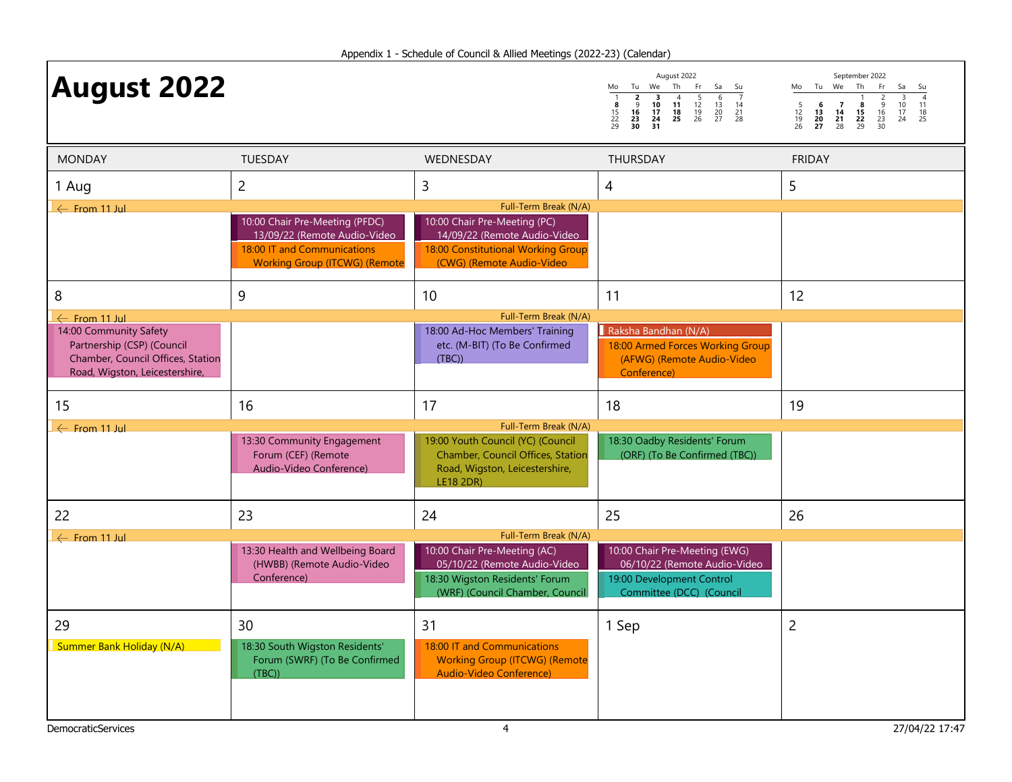| <b>August 2022</b>                                                                                                          |                                                                                                                                       |                                                                                                                                                          | August 2022<br>Th<br>Tu We<br>Fr.<br>Mo<br>Sa<br>Su<br>$\begin{array}{c}\n2 \\ 0 \\ 16 \\ 23 \\ 30\n\end{array}$<br>$\frac{1}{8}$<br>$\frac{15}{22}$<br>29<br>$\overline{\mathbf{3}}$<br>$\overline{4}$<br>$\frac{5}{12}$<br>$\frac{12}{19}$<br>26<br>$\frac{6}{13}$<br>$\frac{20}{27}$<br>$\begin{array}{c} 11 \\ 18 \\ 25 \end{array}$<br>$\frac{10}{17}$<br>$\begin{array}{c} 14 \\ 21 \\ 28 \end{array}$<br>$\frac{24}{31}$ | September 2022<br>Mo Tu We<br>Th<br>Fr.<br>Sa<br>Su<br>$\overline{4}$<br>$\overline{3}$<br>$\frac{2}{9}$<br>$\frac{16}{23}$<br>$\frac{23}{30}$<br>$\frac{5}{12}$<br>$\frac{19}{26}$<br>$\begin{array}{c} 11 \\ 18 \\ 25 \end{array}$<br>$\begin{array}{c} 6 \\ 13 \\ 20 \\ 27 \end{array}$<br>$\begin{array}{c} 7 \\ 14 \\ 21 \\ 28 \end{array}$<br>$\begin{array}{c}\n 8 \\  15 \\  22 \\  29\n\end{array}$<br>$\frac{10}{17}$<br>24 |
|-----------------------------------------------------------------------------------------------------------------------------|---------------------------------------------------------------------------------------------------------------------------------------|----------------------------------------------------------------------------------------------------------------------------------------------------------|---------------------------------------------------------------------------------------------------------------------------------------------------------------------------------------------------------------------------------------------------------------------------------------------------------------------------------------------------------------------------------------------------------------------------------|---------------------------------------------------------------------------------------------------------------------------------------------------------------------------------------------------------------------------------------------------------------------------------------------------------------------------------------------------------------------------------------------------------------------------------------|
| <b>MONDAY</b>                                                                                                               | TUESDAY                                                                                                                               | WEDNESDAY                                                                                                                                                | THURSDAY                                                                                                                                                                                                                                                                                                                                                                                                                        | <b>FRIDAY</b>                                                                                                                                                                                                                                                                                                                                                                                                                         |
| 1 Aug                                                                                                                       | $\overline{2}$                                                                                                                        | 3                                                                                                                                                        | 4                                                                                                                                                                                                                                                                                                                                                                                                                               | 5                                                                                                                                                                                                                                                                                                                                                                                                                                     |
| $\leftarrow$ From 11 Jul                                                                                                    | 10:00 Chair Pre-Meeting (PFDC)<br>13/09/22 (Remote Audio-Video<br>18:00 IT and Communications<br><b>Working Group (ITCWG) (Remote</b> | Full-Term Break (N/A)<br>10:00 Chair Pre-Meeting (PC)<br>14/09/22 (Remote Audio-Video<br>18:00 Constitutional Working Group<br>(CWG) (Remote Audio-Video |                                                                                                                                                                                                                                                                                                                                                                                                                                 |                                                                                                                                                                                                                                                                                                                                                                                                                                       |
| 8                                                                                                                           | 9                                                                                                                                     | 10                                                                                                                                                       | 11                                                                                                                                                                                                                                                                                                                                                                                                                              | 12                                                                                                                                                                                                                                                                                                                                                                                                                                    |
| $\leftarrow$ From 11 Jul                                                                                                    |                                                                                                                                       | Full-Term Break (N/A)                                                                                                                                    |                                                                                                                                                                                                                                                                                                                                                                                                                                 |                                                                                                                                                                                                                                                                                                                                                                                                                                       |
| 14:00 Community Safety<br>Partnership (CSP) (Council<br>Chamber, Council Offices, Station<br>Road, Wigston, Leicestershire, |                                                                                                                                       | 18:00 Ad-Hoc Members' Training<br>etc. (M-BIT) (To Be Confirmed<br>(TBC)                                                                                 | Raksha Bandhan (N/A)<br>18:00 Armed Forces Working Group<br>(AFWG) (Remote Audio-Video<br>Conference)                                                                                                                                                                                                                                                                                                                           |                                                                                                                                                                                                                                                                                                                                                                                                                                       |
| 15                                                                                                                          | 16                                                                                                                                    | 17                                                                                                                                                       | 18                                                                                                                                                                                                                                                                                                                                                                                                                              | 19                                                                                                                                                                                                                                                                                                                                                                                                                                    |
| $\leftarrow$ From 11 Jul                                                                                                    |                                                                                                                                       | Full-Term Break (N/A)                                                                                                                                    |                                                                                                                                                                                                                                                                                                                                                                                                                                 |                                                                                                                                                                                                                                                                                                                                                                                                                                       |
|                                                                                                                             | 13:30 Community Engagement<br>Forum (CEF) (Remote<br>Audio-Video Conference)                                                          | 19:00 Youth Council (YC) (Council<br><b>Chamber, Council Offices, Station</b><br>Road, Wigston, Leicestershire,<br><b>LE18 2DR)</b>                      | 18:30 Oadby Residents' Forum<br>(ORF) (To Be Confirmed (TBC))                                                                                                                                                                                                                                                                                                                                                                   |                                                                                                                                                                                                                                                                                                                                                                                                                                       |
| 22                                                                                                                          | 23                                                                                                                                    | 24                                                                                                                                                       | 25                                                                                                                                                                                                                                                                                                                                                                                                                              | 26                                                                                                                                                                                                                                                                                                                                                                                                                                    |
| $\leftarrow$ From 11 Jul                                                                                                    |                                                                                                                                       | Full-Term Break (N/A)                                                                                                                                    |                                                                                                                                                                                                                                                                                                                                                                                                                                 |                                                                                                                                                                                                                                                                                                                                                                                                                                       |
|                                                                                                                             | 13:30 Health and Wellbeing Board<br>(HWBB) (Remote Audio-Video<br>Conference)                                                         | 10:00 Chair Pre-Meeting (AC)<br>05/10/22 (Remote Audio-Video<br>18:30 Wigston Residents' Forum<br>(WRF) (Council Chamber, Council                        | 10:00 Chair Pre-Meeting (EWG)<br>06/10/22 (Remote Audio-Video<br>19:00 Development Control<br>Committee (DCC) (Council                                                                                                                                                                                                                                                                                                          |                                                                                                                                                                                                                                                                                                                                                                                                                                       |
| 29<br><b>Summer Bank Holiday (N/A)</b>                                                                                      | 30<br>18:30 South Wigston Residents'<br>Forum (SWRF) (To Be Confirmed<br>(TBC)                                                        | 31<br>18:00 IT and Communications<br><b>Working Group (ITCWG) (Remote</b><br><b>Audio-Video Conference)</b>                                              | 1 Sep                                                                                                                                                                                                                                                                                                                                                                                                                           | $\overline{c}$                                                                                                                                                                                                                                                                                                                                                                                                                        |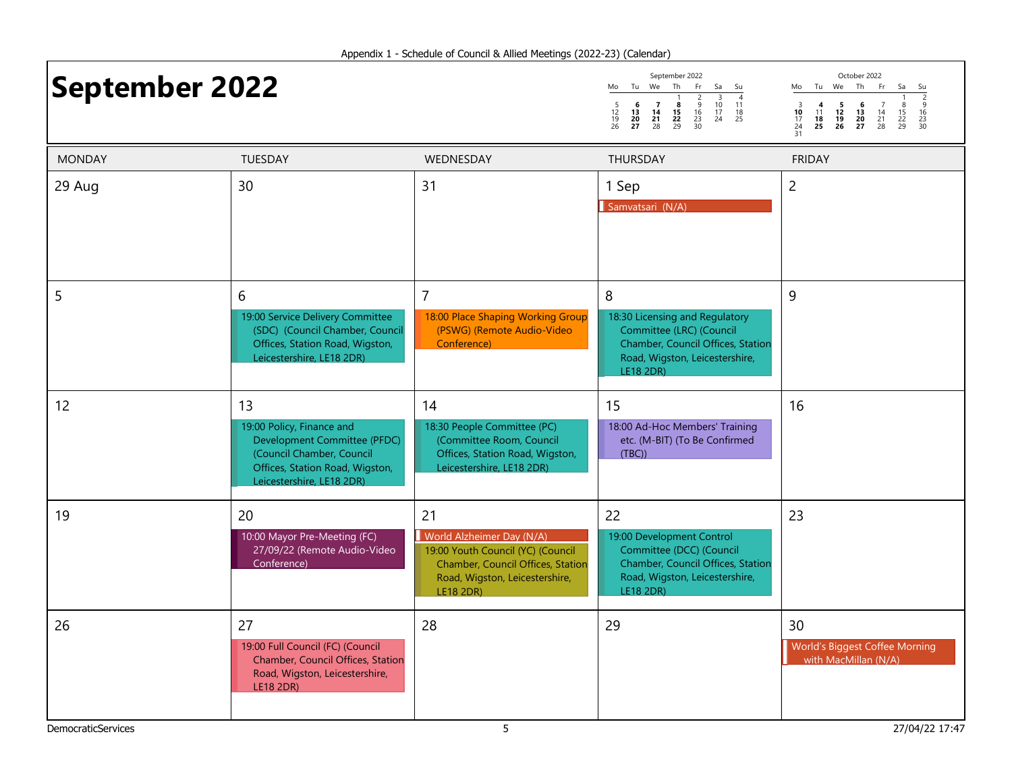# September 2022  $\frac{\text{September 2022}}{\text{6.4.1} \cdot \frac{1}{2} \cdot \frac{2}{3} \cdot \frac{3}{4} \cdot \frac{4}{4}}$   $\frac{\text{Vector Ber 2022}}{\text{Note: The F1}}$

| September 2022      |                     |                |                     |                          |                |                |  |  |  |  |
|---------------------|---------------------|----------------|---------------------|--------------------------|----------------|----------------|--|--|--|--|
| Mo                  | Τu                  | We             | Th                  | Fr                       | Sa             | Su             |  |  |  |  |
| 5<br>12<br>19<br>26 | 6<br>13<br>20<br>27 | 14<br>21<br>28 | 8<br>15<br>22<br>29 | 2<br>9<br>16<br>23<br>30 | 10<br>17<br>24 | 11<br>18<br>25 |  |  |  |  |

Mo Tu We Th Fr Sa Su 1 2 3 4 5 6 7 8 9 10 11 12 13 14 15 16 17 18 19 20 21 22 23 24 25 26 27 28 29 30 3 4 5 6 7<br>10 11 12 13 14<br>17 18 19 20 21<br>24 25 26 27 28<br>31

| <b>MONDAY</b>             | TUESDAY                                                                                                                                                      | WEDNESDAY                                                                                                                                                       | THURSDAY                                                                                                                                            | <b>FRIDAY</b>                                                |
|---------------------------|--------------------------------------------------------------------------------------------------------------------------------------------------------------|-----------------------------------------------------------------------------------------------------------------------------------------------------------------|-----------------------------------------------------------------------------------------------------------------------------------------------------|--------------------------------------------------------------|
| 29 Aug                    | 30                                                                                                                                                           | 31                                                                                                                                                              | 1 Sep<br>Samvatsari (N/A)                                                                                                                           | $\overline{c}$                                               |
| 5                         | 6<br>19:00 Service Delivery Committee<br>(SDC) (Council Chamber, Council<br>Offices, Station Road, Wigston,<br>Leicestershire, LE18 2DR)                     | $\overline{7}$<br>18:00 Place Shaping Working Group<br>(PSWG) (Remote Audio-Video<br>Conference)                                                                | 8<br>18:30 Licensing and Regulatory<br>Committee (LRC) (Council<br>Chamber, Council Offices, Station<br>Road, Wigston, Leicestershire,<br>LE18 2DR) | 9                                                            |
| 12                        | 13<br>19:00 Policy, Finance and<br>Development Committee (PFDC)<br>(Council Chamber, Council<br>Offices, Station Road, Wigston,<br>Leicestershire, LE18 2DR) | 14<br>18:30 People Committee (PC)<br>(Committee Room, Council<br>Offices, Station Road, Wigston,<br>Leicestershire, LE18 2DR)                                   | 15<br>18:00 Ad-Hoc Members' Training<br>etc. (M-BIT) (To Be Confirmed<br>(TBC)                                                                      | 16                                                           |
| 19                        | 20<br>10:00 Mayor Pre-Meeting (FC)<br>27/09/22 (Remote Audio-Video<br>Conference)                                                                            | 21<br>World Alzheimer Day (N/A)<br>19:00 Youth Council (YC) (Council<br>Chamber, Council Offices, Station<br>Road, Wigston, Leicestershire,<br><b>LE18 2DR)</b> | 22<br>19:00 Development Control<br>Committee (DCC) (Council<br>Chamber, Council Offices, Station<br>Road, Wigston, Leicestershire,<br>LE18 2DR)     | 23                                                           |
| 26                        | 27<br>19:00 Full Council (FC) (Council<br>Chamber, Council Offices, Station<br>Road, Wigston, Leicestershire,<br><b>LE18 2DR)</b>                            | 28                                                                                                                                                              | 29                                                                                                                                                  | 30<br>World's Biggest Coffee Morning<br>with MacMillan (N/A) |
| <b>DemocraticServices</b> |                                                                                                                                                              | 5                                                                                                                                                               |                                                                                                                                                     | 27/04/22 17:47                                               |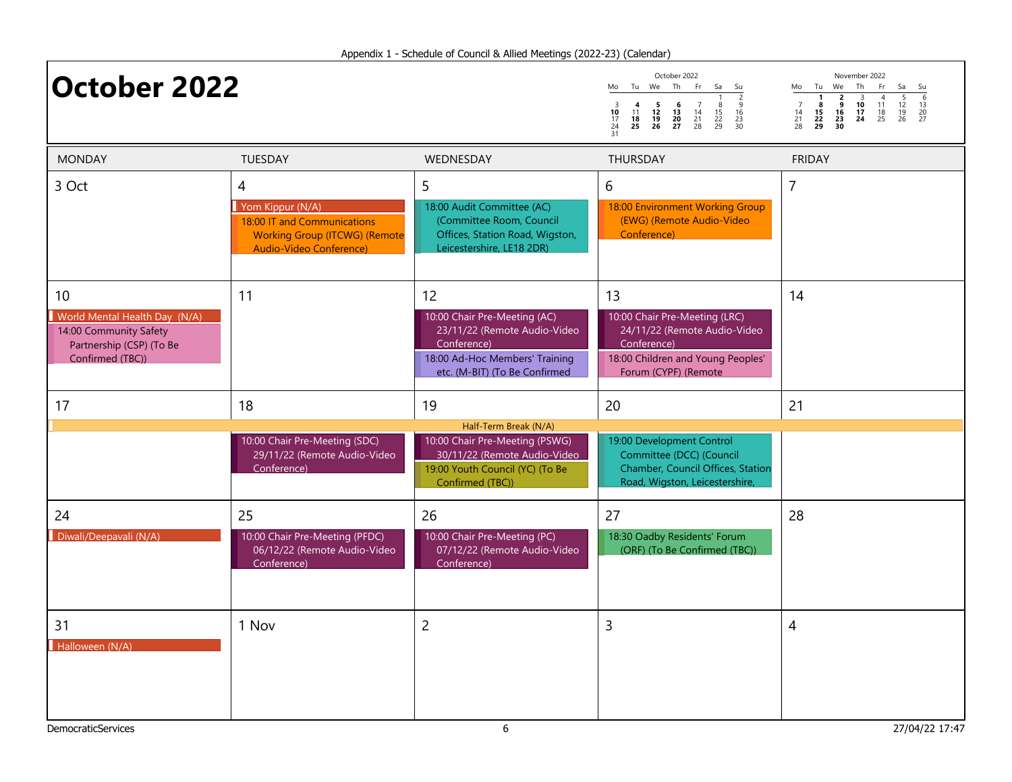| <b>October 2022</b>                                                                                           |                                                                                                                         |                                                                                                                                                      | October 2022<br>Tu We Th<br>Fr<br>Sa<br>Mo<br>Su<br>$\begin{array}{c}\n\overline{2}\\ \phantom{0}9\\ \phantom{0}16\\ \phantom{0}23\\ \phantom{0}30\n\end{array}$<br>$\begin{array}{ccc} 5 & 6 \\ 12 & 13 \\ 19 & 20 \\ 26 & 27 \end{array}$<br>$\overline{7}$<br>$\frac{3}{10}$<br>$\frac{17}{24}$<br>$\frac{24}{31}$<br>$\begin{array}{c} 4 \\ 11 \\ 18 \\ 25 \end{array}$<br>$\frac{8}{15}$<br>$\frac{22}{29}$<br>$\begin{array}{c} 14 \\ 21 \\ 28 \end{array}$ | November 2022<br>Tu We<br>Th<br>Fr<br>Sa<br>Mo<br>Su<br>$\frac{6}{13}$<br>$\frac{13}{20}$<br>$\frac{20}{27}$<br>$\frac{4}{11}$<br>$\frac{13}{25}$<br>$\frac{5}{12}$<br>$\frac{12}{19}$<br>26<br>$\begin{array}{c}\n2 \\ 9 \\ 16 \\ 23 \\ 30\n\end{array}$<br>$\begin{array}{c}\n\overline{3} \\ \overline{10} \\ \overline{17} \\ \overline{24}\n\end{array}$<br>$\begin{array}{c}\n1 \\ 8 \\ 15 \\ 22 \\ 29\n\end{array}$<br>$\begin{array}{c} 7 \\ 14 \\ 21 \\ 28 \end{array}$ |
|---------------------------------------------------------------------------------------------------------------|-------------------------------------------------------------------------------------------------------------------------|------------------------------------------------------------------------------------------------------------------------------------------------------|-------------------------------------------------------------------------------------------------------------------------------------------------------------------------------------------------------------------------------------------------------------------------------------------------------------------------------------------------------------------------------------------------------------------------------------------------------------------|----------------------------------------------------------------------------------------------------------------------------------------------------------------------------------------------------------------------------------------------------------------------------------------------------------------------------------------------------------------------------------------------------------------------------------------------------------------------------------|
| <b>MONDAY</b>                                                                                                 | <b>TUESDAY</b>                                                                                                          | <b>WEDNESDAY</b>                                                                                                                                     | <b>THURSDAY</b>                                                                                                                                                                                                                                                                                                                                                                                                                                                   | <b>FRIDAY</b>                                                                                                                                                                                                                                                                                                                                                                                                                                                                    |
| 3 Oct                                                                                                         | 4<br>Yom Kippur (N/A)<br>18:00 IT and Communications<br><b>Working Group (ITCWG) (Remote</b><br>Audio-Video Conference) | 5<br>18:00 Audit Committee (AC)<br>(Committee Room, Council<br>Offices, Station Road, Wigston,<br>Leicestershire, LE18 2DR)                          | 6<br>18:00 Environment Working Group<br>(EWG) (Remote Audio-Video<br>Conference)                                                                                                                                                                                                                                                                                                                                                                                  | $\overline{7}$                                                                                                                                                                                                                                                                                                                                                                                                                                                                   |
| 10<br>World Mental Health Day (N/A)<br>14:00 Community Safety<br>Partnership (CSP) (To Be<br>Confirmed (TBC)) | 11                                                                                                                      | 12<br>10:00 Chair Pre-Meeting (AC)<br>23/11/22 (Remote Audio-Video<br>Conference)<br>18:00 Ad-Hoc Members' Training<br>etc. (M-BIT) (To Be Confirmed | 13<br>10:00 Chair Pre-Meeting (LRC)<br>24/11/22 (Remote Audio-Video<br>Conference)<br>18:00 Children and Young Peoples'<br>Forum (CYPF) (Remote                                                                                                                                                                                                                                                                                                                   | 14                                                                                                                                                                                                                                                                                                                                                                                                                                                                               |
| 17                                                                                                            | 18                                                                                                                      | 19                                                                                                                                                   | 20                                                                                                                                                                                                                                                                                                                                                                                                                                                                | 21                                                                                                                                                                                                                                                                                                                                                                                                                                                                               |
|                                                                                                               | 10:00 Chair Pre-Meeting (SDC)<br>29/11/22 (Remote Audio-Video<br>Conference)                                            | Half-Term Break (N/A)<br>10:00 Chair Pre-Meeting (PSWG)<br>30/11/22 (Remote Audio-Video<br>19:00 Youth Council (YC) (To Be<br>Confirmed (TBC))       | 19:00 Development Control<br>Committee (DCC) (Council<br>Chamber, Council Offices, Station<br>Road, Wigston, Leicestershire,                                                                                                                                                                                                                                                                                                                                      |                                                                                                                                                                                                                                                                                                                                                                                                                                                                                  |
| 24<br>Diwali/Deepavali (N/A)                                                                                  | 25<br>10:00 Chair Pre-Meeting (PFDC)<br>06/12/22 (Remote Audio-Video<br>Conference)                                     | 26<br>10:00 Chair Pre-Meeting (PC)<br>07/12/22 (Remote Audio-Video<br>Conference)                                                                    | 27<br>18:30 Oadby Residents' Forum<br>(ORF) (To Be Confirmed (TBC))                                                                                                                                                                                                                                                                                                                                                                                               | 28                                                                                                                                                                                                                                                                                                                                                                                                                                                                               |
| 31<br>Halloween (N/A)                                                                                         | 1 Nov                                                                                                                   | $\overline{2}$                                                                                                                                       | 3                                                                                                                                                                                                                                                                                                                                                                                                                                                                 | 4                                                                                                                                                                                                                                                                                                                                                                                                                                                                                |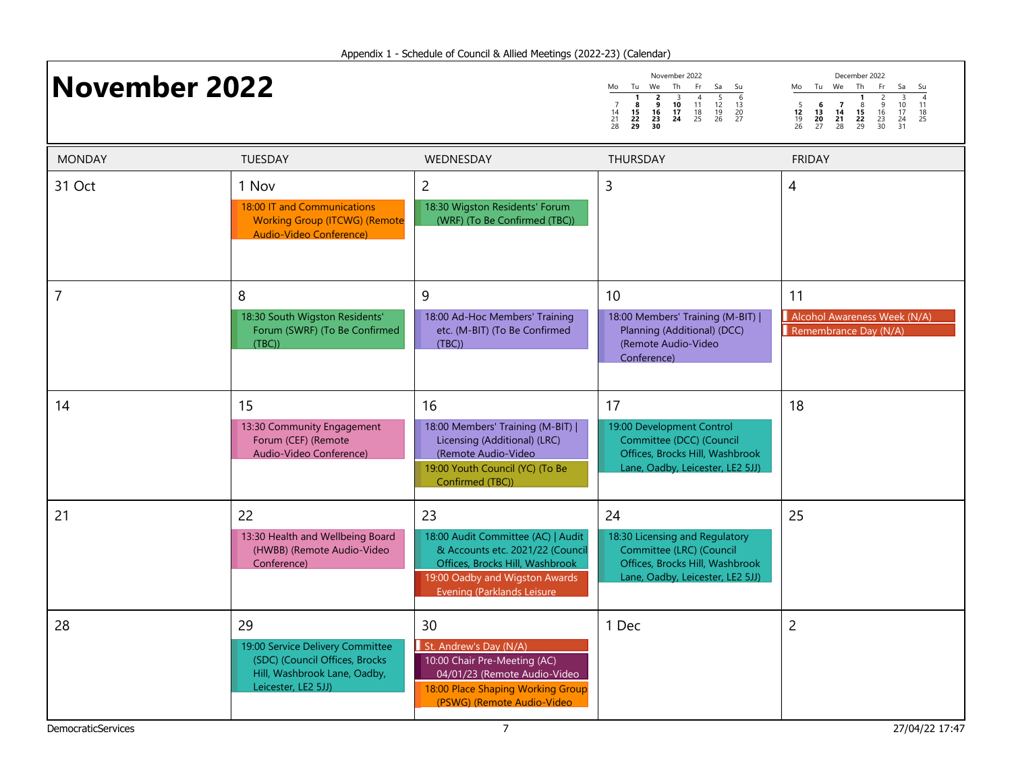| <b>November 2022</b> |                                                                                                                                 |                                                                                                                                                                                 | November 2022<br>Tu We<br>Th<br>Fr<br>Sa<br>Mo<br>Su<br>$\frac{5}{12}$<br>$\frac{12}{19}$<br>26<br>$\frac{6}{13}$<br>$\frac{20}{27}$<br>$\frac{2}{16}$<br>$\frac{16}{23}$<br>3<br>$11^{4}$<br>$\begin{array}{c}\n1 \\ 8 \\ 15 \\ 22 \\ 29\n\end{array}$<br>$\frac{10}{17}$<br>24<br>$\begin{array}{c} 14 \\ 21 \\ 28 \end{array}$<br>$\frac{18}{25}$<br>30 | December 2022<br>Mo Tu We Th<br>Fr<br>Sa<br>Su<br>$\begin{array}{c}\n 3 \\  10 \\  17 \\  24 \\  31\n\end{array}$<br>$\begin{array}{c}\n1 \\ 8 \\ 15 \\ 22 \\ 29\n\end{array}$<br>$\frac{2}{9}$<br>$\frac{16}{23}$<br>$\frac{23}{30}$<br>$\begin{array}{c} 5 \\ 12 \\ 19 \\ 26 \end{array}$<br>$\begin{array}{c} 7 \\ 14 \\ 21 \end{array}$<br>6<br>$\begin{array}{c} 11 \\ 18 \\ 25 \end{array}$<br>$\frac{13}{20}$<br>20<br>27<br>28 |
|----------------------|---------------------------------------------------------------------------------------------------------------------------------|---------------------------------------------------------------------------------------------------------------------------------------------------------------------------------|------------------------------------------------------------------------------------------------------------------------------------------------------------------------------------------------------------------------------------------------------------------------------------------------------------------------------------------------------------|----------------------------------------------------------------------------------------------------------------------------------------------------------------------------------------------------------------------------------------------------------------------------------------------------------------------------------------------------------------------------------------------------------------------------------------|
| <b>MONDAY</b>        | <b>TUESDAY</b>                                                                                                                  | WEDNESDAY                                                                                                                                                                       | THURSDAY                                                                                                                                                                                                                                                                                                                                                   | <b>FRIDAY</b>                                                                                                                                                                                                                                                                                                                                                                                                                          |
| 31 Oct               | 1 Nov<br>18:00 IT and Communications<br><b>Working Group (ITCWG) (Remote</b><br>Audio-Video Conference)                         | $\overline{c}$<br>18:30 Wigston Residents' Forum<br>(WRF) (To Be Confirmed (TBC))                                                                                               | 3                                                                                                                                                                                                                                                                                                                                                          | 4                                                                                                                                                                                                                                                                                                                                                                                                                                      |
| 7                    | 8<br>18:30 South Wigston Residents'<br>Forum (SWRF) (To Be Confirmed<br>(TBC)                                                   | 9<br>18:00 Ad-Hoc Members' Training<br>etc. (M-BIT) (To Be Confirmed<br>(TBC)                                                                                                   | 10<br>18:00 Members' Training (M-BIT)  <br>Planning (Additional) (DCC)<br>(Remote Audio-Video<br>Conference)                                                                                                                                                                                                                                               | 11<br>Alcohol Awareness Week (N/A)<br>Remembrance Day (N/A)                                                                                                                                                                                                                                                                                                                                                                            |
| 14                   | 15<br>13:30 Community Engagement<br>Forum (CEF) (Remote<br>Audio-Video Conference)                                              | 16<br>18:00 Members' Training (M-BIT)  <br>Licensing (Additional) (LRC)<br>(Remote Audio-Video<br>19:00 Youth Council (YC) (To Be<br>Confirmed (TBC))                           | 17<br>19:00 Development Control<br>Committee (DCC) (Council<br>Offices, Brocks Hill, Washbrook<br>Lane, Oadby, Leicester, LE2 5JJ)                                                                                                                                                                                                                         | 18                                                                                                                                                                                                                                                                                                                                                                                                                                     |
| 21                   | 22<br>13:30 Health and Wellbeing Board<br>(HWBB) (Remote Audio-Video<br>Conference)                                             | 23<br>18:00 Audit Committee (AC)   Audit<br>& Accounts etc. 2021/22 (Council<br>Offices, Brocks Hill, Washbrook<br>19:00 Oadby and Wigston Awards<br>Evening (Parklands Leisure | 24<br>18:30 Licensing and Regulatory<br>Committee (LRC) (Council<br>Offices, Brocks Hill, Washbrook<br>Lane, Oadby, Leicester, LE2 5JJ)                                                                                                                                                                                                                    | 25                                                                                                                                                                                                                                                                                                                                                                                                                                     |
| 28                   | 29<br>19:00 Service Delivery Committee<br>(SDC) (Council Offices, Brocks<br>Hill, Washbrook Lane, Oadby,<br>Leicester, LE2 5JJ) | 30<br>St. Andrew's Day (N/A)<br>10:00 Chair Pre-Meeting (AC)<br>04/01/23 (Remote Audio-Video<br>18:00 Place Shaping Working Group<br>(PSWG) (Remote Audio-Video                 | 1 Dec                                                                                                                                                                                                                                                                                                                                                      | $\overline{c}$                                                                                                                                                                                                                                                                                                                                                                                                                         |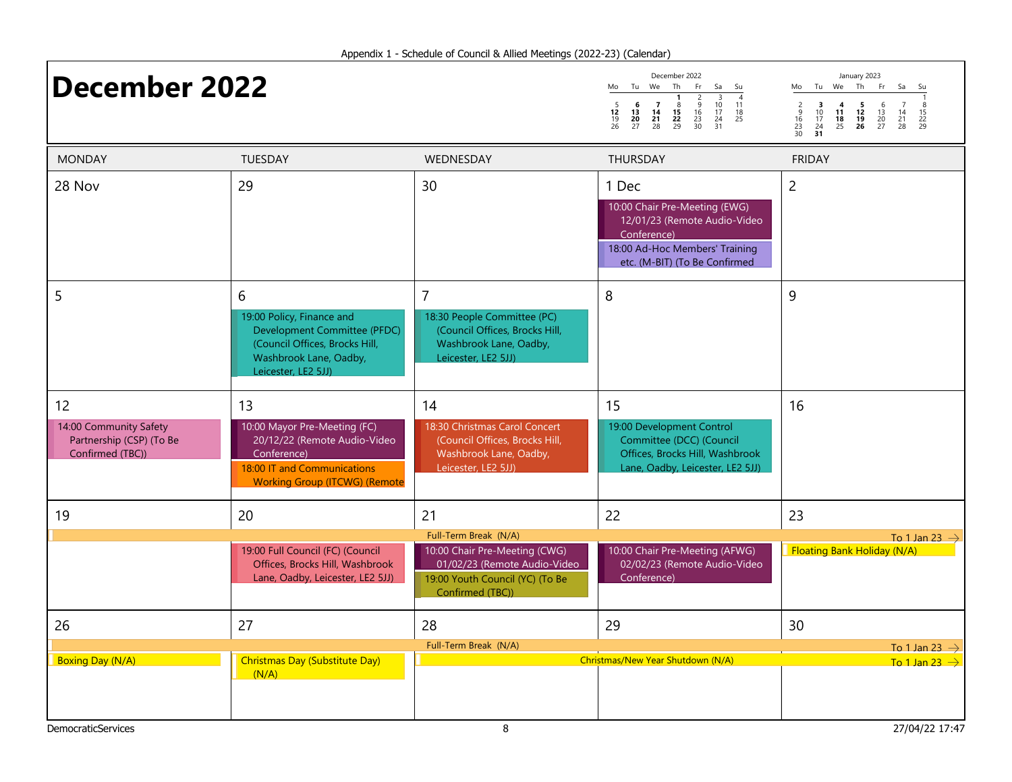## **December 2022** More The Free Sand Super More The The Cerry 2023

|                     | December 2022       |                |                     |                                                 |                      |                |  |  |  |  |  |
|---------------------|---------------------|----------------|---------------------|-------------------------------------------------|----------------------|----------------|--|--|--|--|--|
| Mo                  | Τu                  | We             | Th                  | Fr                                              | Sa                   | Su             |  |  |  |  |  |
| 5<br>12<br>19<br>26 | 6<br>13<br>20<br>27 | 14<br>21<br>28 | 8<br>15<br>22<br>29 | $\overline{\phantom{a}}$<br>9<br>16<br>23<br>30 | 10<br>17<br>24<br>31 | 11<br>18<br>25 |  |  |  |  |  |

Mo Tu We Th Fr Sa Su 1 2 3 4 5 6 7 8 9 10 11 12 13 14 15 16 17 18 19 20 21 22 23 24 25 26 27 28 29 30 31

| <b>MONDAY</b>                                                                | TUESDAY                                                                                                                                                  | WEDNESDAY                                                                                                                                     | THURSDAY                                                                                                                                                 | <b>FRIDAY</b>                                            |
|------------------------------------------------------------------------------|----------------------------------------------------------------------------------------------------------------------------------------------------------|-----------------------------------------------------------------------------------------------------------------------------------------------|----------------------------------------------------------------------------------------------------------------------------------------------------------|----------------------------------------------------------|
| 28 Nov                                                                       | 29                                                                                                                                                       | 30                                                                                                                                            | 1 Dec<br>10:00 Chair Pre-Meeting (EWG)<br>12/01/23 (Remote Audio-Video<br>Conference)<br>18:00 Ad-Hoc Members' Training<br>etc. (M-BIT) (To Be Confirmed | $\overline{2}$                                           |
| 5                                                                            | 6<br>19:00 Policy, Finance and<br>Development Committee (PFDC)<br>(Council Offices, Brocks Hill,<br>Washbrook Lane, Oadby,<br>Leicester, LE2 5JJ)        | $\overline{7}$<br>18:30 People Committee (PC)<br>(Council Offices, Brocks Hill,<br>Washbrook Lane, Oadby,<br>Leicester, LE2 5JJ)              | 8                                                                                                                                                        | 9                                                        |
| 12<br>14:00 Community Safety<br>Partnership (CSP) (To Be<br>Confirmed (TBC)) | 13<br>10:00 Mayor Pre-Meeting (FC)<br>20/12/22 (Remote Audio-Video<br>Conference)<br>18:00 IT and Communications<br><b>Working Group (ITCWG) (Remote</b> | 14<br>18:30 Christmas Carol Concert<br>(Council Offices, Brocks Hill,<br>Washbrook Lane, Oadby,<br>Leicester, LE2 5JJ)                        | 15<br>19:00 Development Control<br>Committee (DCC) (Council<br>Offices, Brocks Hill, Washbrook<br>Lane, Oadby, Leicester, LE2 5JJ)                       | 16                                                       |
| 19                                                                           | 20                                                                                                                                                       | 21                                                                                                                                            | 22                                                                                                                                                       | 23                                                       |
|                                                                              | 19:00 Full Council (FC) (Council<br>Offices, Brocks Hill, Washbrook<br>Lane, Oadby, Leicester, LE2 5JJ)                                                  | Full-Term Break (N/A)<br>10:00 Chair Pre-Meeting (CWG)<br>01/02/23 (Remote Audio-Video<br>19:00 Youth Council (YC) (To Be<br>Confirmed (TBC)) | 10:00 Chair Pre-Meeting (AFWG)<br>02/02/23 (Remote Audio-Video<br>Conference)                                                                            | To 1 Jan 23 $\rightarrow$<br>Floating Bank Holiday (N/A) |
| 26                                                                           | 27                                                                                                                                                       | 28                                                                                                                                            | 29                                                                                                                                                       | 30                                                       |
|                                                                              |                                                                                                                                                          | Full-Term Break (N/A)                                                                                                                         |                                                                                                                                                          | To 1 Jan 23 $\rightarrow$                                |
| <b>Boxing Day (N/A)</b>                                                      | Christmas Day (Substitute Day)<br>(N/A)                                                                                                                  |                                                                                                                                               | Christmas/New Year Shutdown (N/A)                                                                                                                        | To 1 Jan 23 $\rightarrow$                                |
| <b>DemocraticServices</b>                                                    |                                                                                                                                                          | 8                                                                                                                                             |                                                                                                                                                          | 27/04/22 17:47                                           |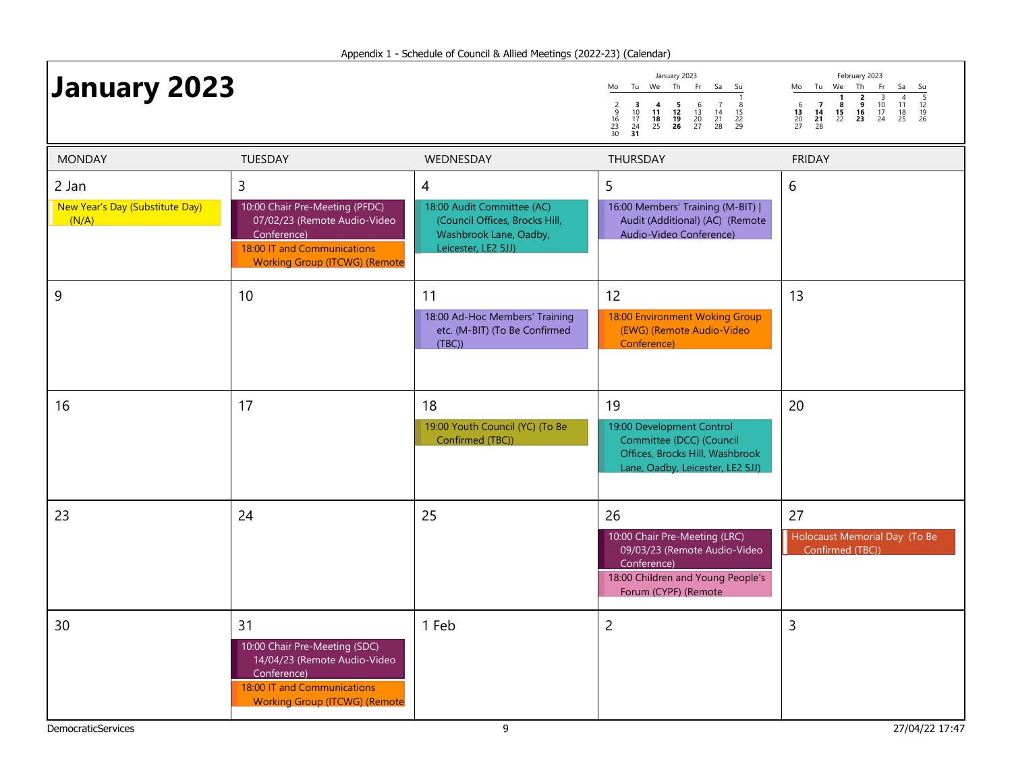| <b>January 2023</b>                               |                                                                                                                                                           |                                                                                                                    | January 2023<br>Mo Tu We Th<br>Fr.<br>Sa<br>Su<br>$\frac{2}{9}$<br>$\frac{16}{23}$<br>$\frac{23}{30}$<br>$\frac{3}{10}$<br>$\frac{17}{24}$<br>31<br>$\begin{array}{cc} 4 & 5 \\ 11 & 12 \\ 18 & 19 \\ 25 & 26 \end{array}$<br>$\begin{array}{c} 6 \\ 13 \\ 20 \\ 27 \end{array}$<br>$\begin{array}{c} 7 \\ 14 \\ 21 \\ 28 \end{array}$<br>$\begin{array}{c} 8 \\ 15 \\ 22 \\ 29 \end{array}$ | February 2023<br>Mo Tu We Th<br>Fr<br>Sa<br>Su<br>$\frac{5}{12}$<br>$\frac{12}{19}$<br>26<br>$\frac{3}{10}$<br>$\frac{17}{24}$<br>$\begin{array}{c} 6 \\ 13 \\ 20 \\ 27 \end{array}$<br>$\begin{array}{c} 7 \\ 14 \\ 21 \\ 28 \end{array}$<br>$\frac{11}{18}$<br>25 |
|---------------------------------------------------|-----------------------------------------------------------------------------------------------------------------------------------------------------------|--------------------------------------------------------------------------------------------------------------------|----------------------------------------------------------------------------------------------------------------------------------------------------------------------------------------------------------------------------------------------------------------------------------------------------------------------------------------------------------------------------------------------|---------------------------------------------------------------------------------------------------------------------------------------------------------------------------------------------------------------------------------------------------------------------|
| <b>MONDAY</b>                                     | <b>TUESDAY</b>                                                                                                                                            | WEDNESDAY                                                                                                          | <b>THURSDAY</b>                                                                                                                                                                                                                                                                                                                                                                              | <b>FRIDAY</b>                                                                                                                                                                                                                                                       |
| 2 Jan<br>New Year's Day (Substitute Day)<br>(N/A) | 3<br>10:00 Chair Pre-Meeting (PFDC)<br>07/02/23 (Remote Audio-Video<br>Conference)<br>18:00 IT and Communications<br><b>Working Group (ITCWG) (Remote</b> | 4<br>18:00 Audit Committee (AC)<br>(Council Offices, Brocks Hill,<br>Washbrook Lane, Oadby,<br>Leicester, LE2 5JJ) | 5<br>16:00 Members' Training (M-BIT)  <br>Audit (Additional) (AC) (Remote<br>Audio-Video Conference)                                                                                                                                                                                                                                                                                         | 6                                                                                                                                                                                                                                                                   |
| 9                                                 | 10                                                                                                                                                        | 11<br>18:00 Ad-Hoc Members' Training<br>etc. (M-BIT) (To Be Confirmed<br>(TBC)                                     | 12<br>18:00 Environment Woking Group<br>(EWG) (Remote Audio-Video<br>Conference)                                                                                                                                                                                                                                                                                                             | 13                                                                                                                                                                                                                                                                  |
| 16                                                | 17                                                                                                                                                        | 18<br>19:00 Youth Council (YC) (To Be<br>Confirmed (TBC))                                                          | 19<br>19:00 Development Control<br>Committee (DCC) (Council<br>Offices, Brocks Hill, Washbrook<br>Lane, Oadby, Leicester, LE2 5JJ)                                                                                                                                                                                                                                                           | 20                                                                                                                                                                                                                                                                  |
| 23                                                | 24                                                                                                                                                        | 25                                                                                                                 | 26<br>10:00 Chair Pre-Meeting (LRC)<br>09/03/23 (Remote Audio-Video<br>Conference)<br>18:00 Children and Young People's<br>Forum (CYPF) (Remote                                                                                                                                                                                                                                              | 27<br>Holocaust Memorial Day (To Be<br>Confirmed (TBC))                                                                                                                                                                                                             |
| 30                                                | 31<br>10:00 Chair Pre-Meeting (SDC)<br>14/04/23 (Remote Audio-Video<br>Conference)<br>18:00 IT and Communications<br><b>Working Group (ITCWG) (Remote</b> | 1 Feb                                                                                                              | $\overline{c}$                                                                                                                                                                                                                                                                                                                                                                               | $\overline{3}$                                                                                                                                                                                                                                                      |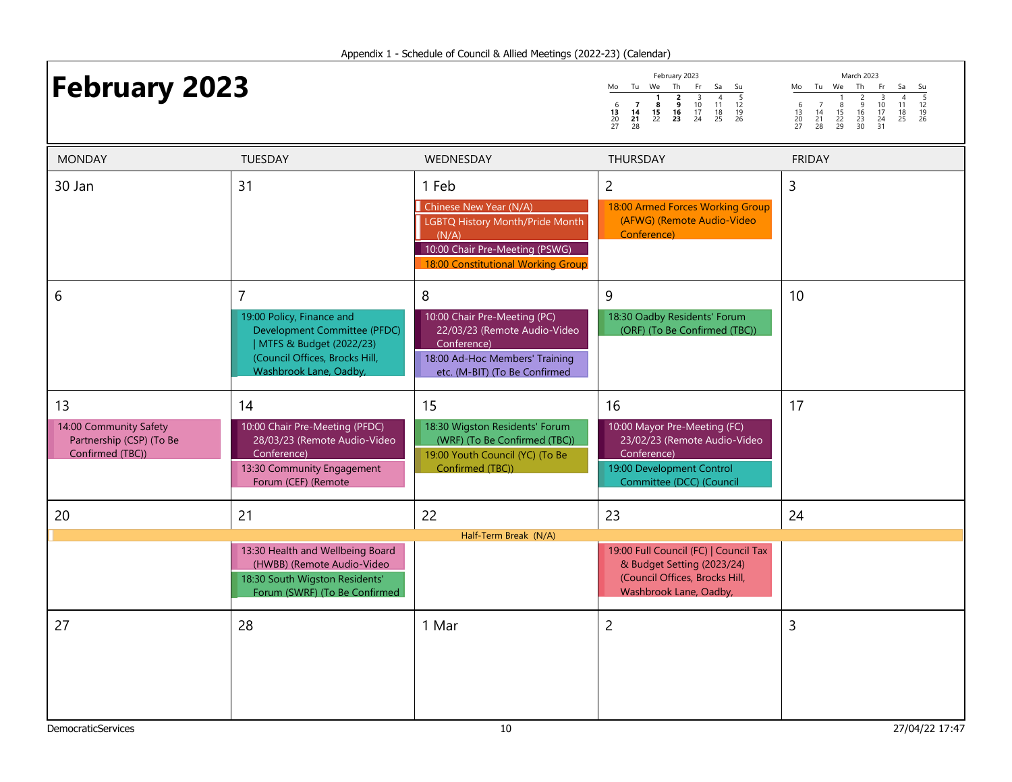# **February 2023**

|                     | February 2023  |               |                    |                |                |                |  |
|---------------------|----------------|---------------|--------------------|----------------|----------------|----------------|--|
| Mo                  | Τu             | We            | Th                 | Fr             | Sa             | Su             |  |
| 6<br>13<br>20<br>27 | 14<br>21<br>28 | 8<br>15<br>22 | 2<br>9<br>16<br>23 | 10<br>17<br>24 | 11<br>18<br>25 | 12<br>19<br>26 |  |

Mo Tu We Th Fr Sa Su 1 2 3 4 5 6 7 8 9 10 11 12 13 14 15 16 17 18 19 20 21 22 23 24 25 26 27 28 29 30 31

| <b>MONDAY</b>                                                                | TUESDAY                                                                                                                                                              | WEDNESDAY                                                                                                                                           | THURSDAY                                                                                                                                   | <b>FRIDAY</b>  |
|------------------------------------------------------------------------------|----------------------------------------------------------------------------------------------------------------------------------------------------------------------|-----------------------------------------------------------------------------------------------------------------------------------------------------|--------------------------------------------------------------------------------------------------------------------------------------------|----------------|
| 30 Jan                                                                       | 31                                                                                                                                                                   | 1 Feb<br>Chinese New Year (N/A)<br>LGBTQ History Month/Pride Month<br>(N/A)<br>10:00 Chair Pre-Meeting (PSWG)<br>18:00 Constitutional Working Group | $\overline{2}$<br>18:00 Armed Forces Working Group<br>(AFWG) (Remote Audio-Video<br>Conference)                                            | 3              |
| 6                                                                            | $\overline{7}$<br>19:00 Policy, Finance and<br>Development Committee (PFDC)<br>  MTFS & Budget (2022/23)<br>(Council Offices, Brocks Hill,<br>Washbrook Lane, Oadby, | 8<br>10:00 Chair Pre-Meeting (PC)<br>22/03/23 (Remote Audio-Video<br>Conference)<br>18:00 Ad-Hoc Members' Training<br>etc. (M-BIT) (To Be Confirmed | 9<br>18:30 Oadby Residents' Forum<br>(ORF) (To Be Confirmed (TBC))                                                                         | 10             |
| 13<br>14:00 Community Safety<br>Partnership (CSP) (To Be<br>Confirmed (TBC)) | 14<br>10:00 Chair Pre-Meeting (PFDC)<br>28/03/23 (Remote Audio-Video<br>Conference)<br>13:30 Community Engagement<br>Forum (CEF) (Remote                             | 15<br>18:30 Wigston Residents' Forum<br>(WRF) (To Be Confirmed (TBC))<br>19:00 Youth Council (YC) (To Be<br>Confirmed (TBC))                        | 16<br>10:00 Mayor Pre-Meeting (FC)<br>23/02/23 (Remote Audio-Video<br>Conference)<br>19:00 Development Control<br>Committee (DCC) (Council | 17             |
| 20                                                                           | 21                                                                                                                                                                   | 22                                                                                                                                                  | 23                                                                                                                                         | 24             |
|                                                                              | 13:30 Health and Wellbeing Board<br>(HWBB) (Remote Audio-Video<br>18:30 South Wigston Residents'<br>Forum (SWRF) (To Be Confirmed                                    | Half-Term Break (N/A)                                                                                                                               | 19:00 Full Council (FC)   Council Tax<br>& Budget Setting (2023/24)<br>(Council Offices, Brocks Hill,<br>Washbrook Lane, Oadby,            |                |
| 27                                                                           | 28                                                                                                                                                                   | 1 Mar                                                                                                                                               | $\overline{c}$                                                                                                                             | 3              |
| <b>DemocraticServices</b>                                                    |                                                                                                                                                                      | 10                                                                                                                                                  |                                                                                                                                            | 27/04/22 17:47 |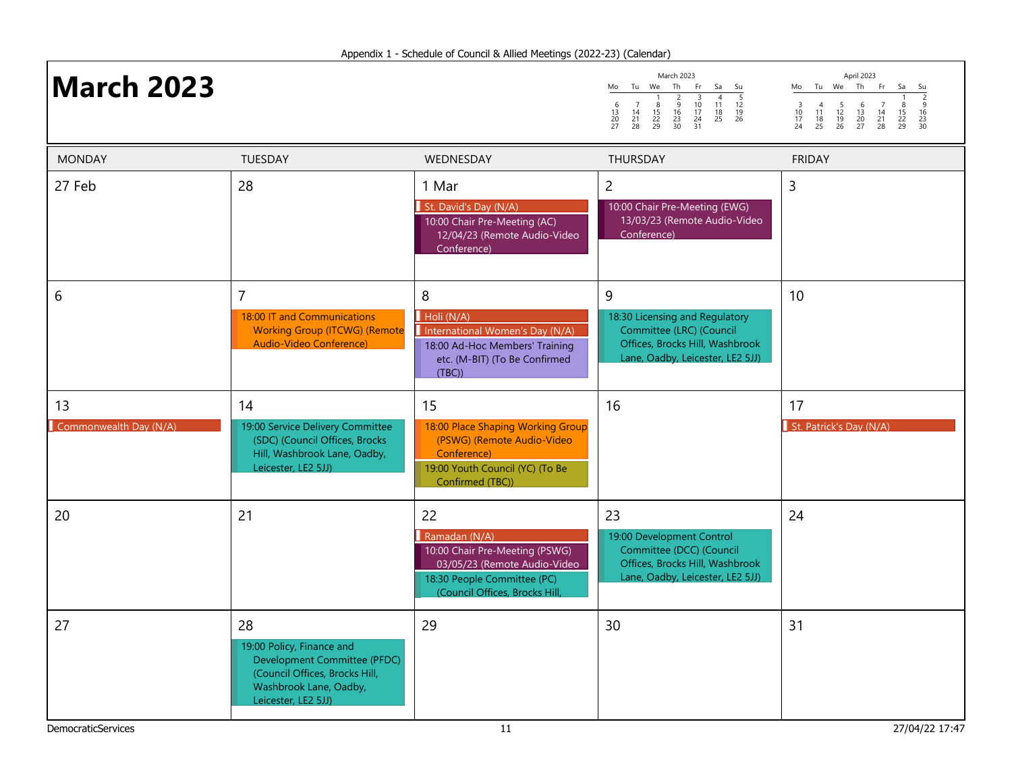| <b>March 2023</b>            |                                                                                                                                                    |                                                                                                                                                        | March 2023<br>Tu We<br>Th<br>Fr<br>Mo<br>Sa<br>Su<br>$\frac{5}{12}$<br>$\frac{12}{19}$<br>26<br>$\overline{4}$<br>$\begin{array}{c}\n 3 \\  10 \\  17 \\  24 \\  31\n\end{array}$<br>$\frac{2}{9}$<br>$\frac{16}{23}$<br>$\frac{23}{30}$<br>$\begin{array}{c} 6 \\ 13 \\ 20 \\ 27 \end{array}$<br>$\overline{7}$<br>$\frac{11}{18}$<br>25<br>$\frac{8}{15}$<br>$\frac{22}{29}$<br>$\begin{array}{c} 14 \\ 21 \\ 28 \end{array}$ | April 2023<br>Mo Tu We Th<br>Fr.<br>Sa<br>Su<br>$\begin{array}{c} 3 \\ 10 \\ 17 \\ 24 \end{array}$<br>$\frac{5}{12}$<br>$\frac{12}{19}$<br>26<br>$\overline{7}$<br>$\begin{array}{c} 4 \\ 11 \\ 18 \\ 25 \end{array}$<br>$\begin{array}{c} 6 \\ 13 \\ 20 \\ 27 \end{array}$<br>$\begin{array}{c} 8 \\ 15 \\ 22 \\ 29 \end{array}$<br>$\begin{array}{c} 14 \\ 21 \\ 28 \end{array}$<br>$\begin{array}{c} 16 \\ 23 \\ 30 \end{array}$ |
|------------------------------|----------------------------------------------------------------------------------------------------------------------------------------------------|--------------------------------------------------------------------------------------------------------------------------------------------------------|---------------------------------------------------------------------------------------------------------------------------------------------------------------------------------------------------------------------------------------------------------------------------------------------------------------------------------------------------------------------------------------------------------------------------------|-------------------------------------------------------------------------------------------------------------------------------------------------------------------------------------------------------------------------------------------------------------------------------------------------------------------------------------------------------------------------------------------------------------------------------------|
| <b>MONDAY</b>                | TUESDAY                                                                                                                                            | WEDNESDAY                                                                                                                                              | <b>THURSDAY</b>                                                                                                                                                                                                                                                                                                                                                                                                                 | <b>FRIDAY</b>                                                                                                                                                                                                                                                                                                                                                                                                                       |
| 27 Feb                       | 28                                                                                                                                                 | 1 Mar<br>St. David's Day (N/A)<br>10:00 Chair Pre-Meeting (AC)<br>12/04/23 (Remote Audio-Video<br>Conference)                                          | $\overline{c}$<br>10:00 Chair Pre-Meeting (EWG)<br>13/03/23 (Remote Audio-Video<br>Conference)                                                                                                                                                                                                                                                                                                                                  | 3                                                                                                                                                                                                                                                                                                                                                                                                                                   |
| 6                            | 7<br>18:00 IT and Communications<br><b>Working Group (ITCWG) (Remote</b><br>Audio-Video Conference)                                                | 8<br>Holi (N/A)<br>International Women's Day (N/A)<br>18:00 Ad-Hoc Members' Training<br>etc. (M-BIT) (To Be Confirmed<br>(TBC)                         | 9<br>18:30 Licensing and Regulatory<br>Committee (LRC) (Council<br>Offices, Brocks Hill, Washbrook<br>Lane, Oadby, Leicester, LE2 5JJ)                                                                                                                                                                                                                                                                                          | 10                                                                                                                                                                                                                                                                                                                                                                                                                                  |
| 13<br>Commonwealth Day (N/A) | 14<br>19:00 Service Delivery Committee<br>(SDC) (Council Offices, Brocks<br>Hill, Washbrook Lane, Oadby,<br>Leicester, LE2 5JJ)                    | 15<br>18:00 Place Shaping Working Group<br>(PSWG) (Remote Audio-Video<br>Conference)<br>19:00 Youth Council (YC) (To Be<br>Confirmed (TBC))            | 16                                                                                                                                                                                                                                                                                                                                                                                                                              | 17<br>St. Patrick's Day (N/A)                                                                                                                                                                                                                                                                                                                                                                                                       |
| 20                           | 21                                                                                                                                                 | 22<br>Ramadan (N/A)<br>10:00 Chair Pre-Meeting (PSWG)<br>03/05/23 (Remote Audio-Video<br>18:30 People Committee (PC)<br>(Council Offices, Brocks Hill, | 23<br>19:00 Development Control<br>Committee (DCC) (Council<br>Offices, Brocks Hill, Washbrook<br>Lane, Oadby, Leicester, LE2 5JJ)                                                                                                                                                                                                                                                                                              | 24                                                                                                                                                                                                                                                                                                                                                                                                                                  |
| 27                           | 28<br>19:00 Policy, Finance and<br>Development Committee (PFDC)<br>(Council Offices, Brocks Hill,<br>Washbrook Lane, Oadby,<br>Leicester, LE2 5JJ) | 29                                                                                                                                                     | 30                                                                                                                                                                                                                                                                                                                                                                                                                              | 31                                                                                                                                                                                                                                                                                                                                                                                                                                  |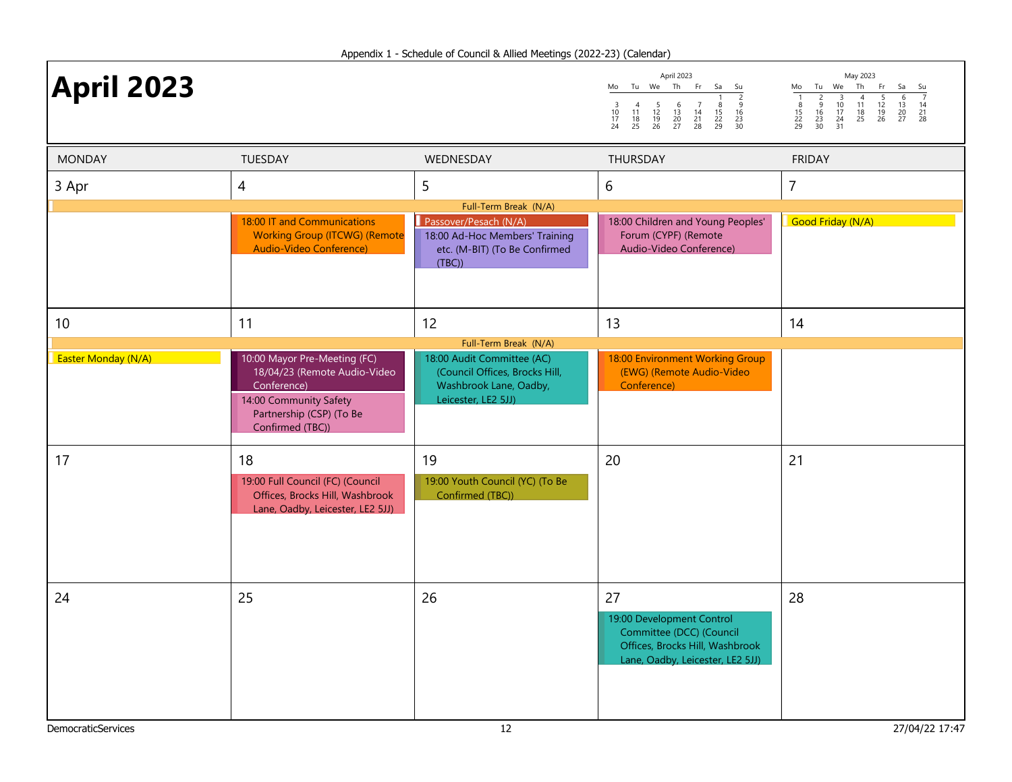| <b>April 2023</b>   |                                                                                                                                                       |                                                                                                               | April 2023<br>Tu We Th<br>Fr.<br>Sa<br>Mo<br>Su<br>$\frac{2}{9}$<br>$\frac{16}{23}$<br>$\frac{23}{30}$<br>$\begin{array}{c} 3 \\ 10 \\ 17 \\ 24 \end{array}$<br>$\begin{array}{c} 6 \\ 13 \\ 20 \\ 27 \end{array}$<br>$\frac{8}{15}$<br>22<br>29<br>$\begin{array}{c} 4 \\ 11 \\ 18 \\ 25 \end{array}$<br>$\frac{5}{12}$<br>$\frac{12}{19}$<br>26<br>$\begin{array}{c} 7 \\ 14 \\ 21 \\ 28 \end{array}$ | May 2023<br>Tu We Th<br>Fr<br>Sa<br>Mo<br>Su<br>$\frac{1}{8}$<br>$\frac{15}{22}$<br>29<br>$\begin{array}{c}\n2 \\ \hline\n2 \\ 16 \\ 23 \\ 30\n\end{array}$<br>$\begin{array}{c}\n4 \\ 11 \\ 18 \\ 25\n\end{array}$<br>$\frac{5}{12}$<br>$\frac{12}{19}$<br>26<br>$\begin{array}{c}\n 3 \\  10 \\  17 \\  24 \\  31\n\end{array}$<br>$\frac{6}{13}$<br>$\frac{13}{20}$<br>$\frac{20}{27}$<br>$\begin{array}{c} 14 \\ 21 \\ 28 \end{array}$ |
|---------------------|-------------------------------------------------------------------------------------------------------------------------------------------------------|---------------------------------------------------------------------------------------------------------------|---------------------------------------------------------------------------------------------------------------------------------------------------------------------------------------------------------------------------------------------------------------------------------------------------------------------------------------------------------------------------------------------------------|--------------------------------------------------------------------------------------------------------------------------------------------------------------------------------------------------------------------------------------------------------------------------------------------------------------------------------------------------------------------------------------------------------------------------------------------|
| <b>MONDAY</b>       | TUESDAY                                                                                                                                               | WEDNESDAY                                                                                                     | THURSDAY                                                                                                                                                                                                                                                                                                                                                                                                | <b>FRIDAY</b>                                                                                                                                                                                                                                                                                                                                                                                                                              |
| 3 Apr               | 4                                                                                                                                                     | 5                                                                                                             | 6                                                                                                                                                                                                                                                                                                                                                                                                       | $\overline{7}$                                                                                                                                                                                                                                                                                                                                                                                                                             |
|                     |                                                                                                                                                       | Full-Term Break (N/A)                                                                                         |                                                                                                                                                                                                                                                                                                                                                                                                         |                                                                                                                                                                                                                                                                                                                                                                                                                                            |
|                     | 18:00 IT and Communications<br><b>Working Group (ITCWG) (Remote</b><br>Audio-Video Conference)                                                        | Passover/Pesach (N/A)<br>18:00 Ad-Hoc Members' Training<br>etc. (M-BIT) (To Be Confirmed<br>(TBC)             | 18:00 Children and Young Peoples'<br>Forum (CYPF) (Remote<br>Audio-Video Conference)                                                                                                                                                                                                                                                                                                                    | Good Friday (N/A)                                                                                                                                                                                                                                                                                                                                                                                                                          |
| 10                  | 11                                                                                                                                                    | 12<br>Full-Term Break (N/A)                                                                                   | 13                                                                                                                                                                                                                                                                                                                                                                                                      | 14                                                                                                                                                                                                                                                                                                                                                                                                                                         |
| Easter Monday (N/A) | 10:00 Mayor Pre-Meeting (FC)<br>18/04/23 (Remote Audio-Video<br>Conference)<br>14:00 Community Safety<br>Partnership (CSP) (To Be<br>Confirmed (TBC)) | 18:00 Audit Committee (AC)<br>(Council Offices, Brocks Hill,<br>Washbrook Lane, Oadby,<br>Leicester, LE2 5JJ) | 18:00 Environment Working Group<br>(EWG) (Remote Audio-Video<br>Conference)                                                                                                                                                                                                                                                                                                                             |                                                                                                                                                                                                                                                                                                                                                                                                                                            |
| 17                  | 18<br>19:00 Full Council (FC) (Council<br>Offices, Brocks Hill, Washbrook<br>Lane, Oadby, Leicester, LE2 5JJ)                                         | 19<br>19:00 Youth Council (YC) (To Be<br>Confirmed (TBC))                                                     | 20                                                                                                                                                                                                                                                                                                                                                                                                      | 21                                                                                                                                                                                                                                                                                                                                                                                                                                         |
| 24                  | 25                                                                                                                                                    | 26                                                                                                            | 27<br>19:00 Development Control<br>Committee (DCC) (Council<br>Offices, Brocks Hill, Washbrook<br>Lane, Oadby, Leicester, LE2 5JJ)                                                                                                                                                                                                                                                                      | 28                                                                                                                                                                                                                                                                                                                                                                                                                                         |